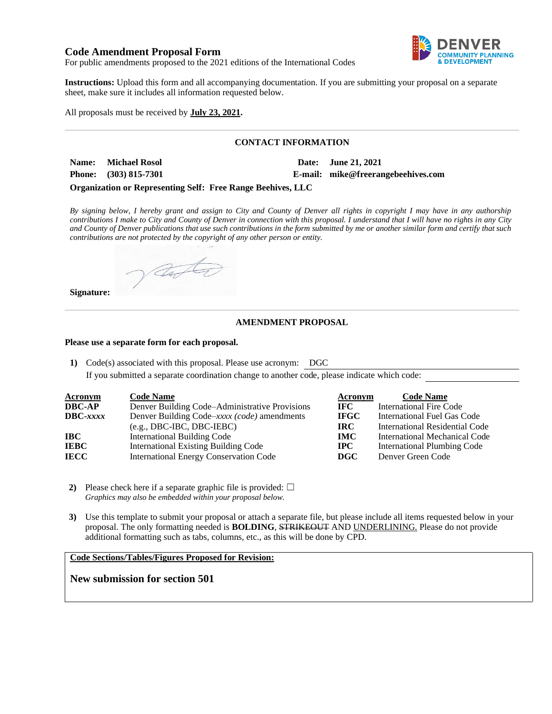## **Code Amendment Proposal Form**



For public amendments proposed to the 2021 editions of the International Codes

**Instructions:** Upload this form and all accompanying documentation. If you are submitting your proposal on a separate sheet, make sure it includes all information requested below.

All proposals must be received by **July 23, 2021.**

#### **CONTACT INFORMATION**

| <b>Name:</b> Michael Rosol | Date: June 21, 2021                |
|----------------------------|------------------------------------|
| Phone: (303) 815-7301      | E-mail: mike@freerangebeehives.com |

**Organization or Representing Self: Free Range Beehives, LLC**

*By signing below, I hereby grant and assign to City and County of Denver all rights in copyright I may have in any authorship contributions I make to City and County of Denver in connection with this proposal. I understand that I will have no rights in any City and County of Denver publications that use such contributions in the form submitted by me or another similar form and certify that such contributions are not protected by the copyright of any other person or entity.* 

anto

### **Signature:**

#### **AMENDMENT PROPOSAL**

#### **Please use a separate form for each proposal.**

**1)** Code(s) associated with this proposal. Please use acronym: DGC

If you submitted a separate coordination change to another code, please indicate which code:

| <b>Acronym</b>    | <b>Code Name</b>                               | Acronym     | <b>Code Name</b>                   |
|-------------------|------------------------------------------------|-------------|------------------------------------|
| <b>DBC-AP</b>     | Denver Building Code–Administrative Provisions | IFC.        | International Fire Code            |
| $\text{DBC-}xxxx$ | Denver Building Code–xxxx (code) amendments    | <b>IFGC</b> | <b>International Fuel Gas Code</b> |
|                   | $(e.g., DBC-IBC, DBC-IEBC)$                    | IRC.        | International Residential Code     |
| IBC.              | <b>International Building Code</b>             | <b>IMC</b>  | International Mechanical Code      |
| <b>IEBC</b>       | <b>International Existing Building Code</b>    | <b>IPC</b>  | <b>International Plumbing Code</b> |
| <b>IECC</b>       | <b>International Energy Conservation Code</b>  | DGC         | Denver Green Code                  |

**2)** Please check here if a separate graphic file is provided:  $\Box$ *Graphics may also be embedded within your proposal below.*

**3)** Use this template to submit your proposal or attach a separate file, but please include all items requested below in your proposal. The only formatting needed is **BOLDING**, STRIKEOUT AND UNDERLINING. Please do not provide additional formatting such as tabs, columns, etc., as this will be done by CPD.

#### **Code Sections/Tables/Figures Proposed for Revision:**

**New submission for section 501**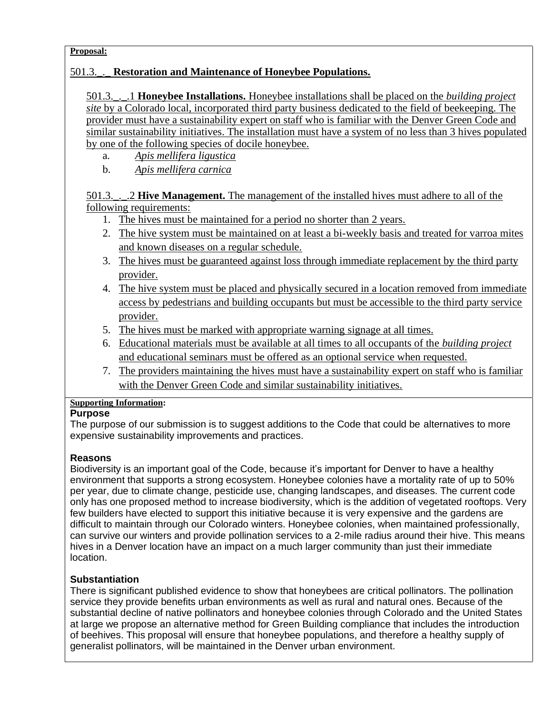## **Proposal:**

# 501.3.\_.\_ **Restoration and Maintenance of Honeybee Populations.**

501.3.\_.\_.1 **Honeybee Installations.** Honeybee installations shall be placed on the *building project site* by a Colorado local, incorporated third party business dedicated to the field of beekeeping. The provider must have a sustainability expert on staff who is familiar with the Denver Green Code and similar sustainability initiatives. The installation must have a system of no less than 3 hives populated by one of the following species of docile honeybee.

- a. *Apis mellifera ligustica*
- b. *Apis mellifera carnica*

# 501.3.\_.\_.2 **Hive Management.** The management of the installed hives must adhere to all of the following requirements:

- 1. The hives must be maintained for a period no shorter than 2 years.
- 2. The hive system must be maintained on at least a bi-weekly basis and treated for varroa mites and known diseases on a regular schedule.
- 3. The hives must be guaranteed against loss through immediate replacement by the third party provider.
- 4. The hive system must be placed and physically secured in a location removed from immediate access by pedestrians and building occupants but must be accessible to the third party service provider.
- 5. The hives must be marked with appropriate warning signage at all times.
- 6. Educational materials must be available at all times to all occupants of the *building project* and educational seminars must be offered as an optional service when requested.
- 7. The providers maintaining the hives must have a sustainability expert on staff who is familiar with the Denver Green Code and similar sustainability initiatives.

# **Supporting Information:**

# **Purpose**

The purpose of our submission is to suggest additions to the Code that could be alternatives to more expensive sustainability improvements and practices.

# **Reasons**

Biodiversity is an important goal of the Code, because it's important for Denver to have a healthy environment that supports a strong ecosystem. Honeybee colonies have a mortality rate of up to 50% per year, due to climate change, pesticide use, changing landscapes, and diseases. The current code only has one proposed method to increase biodiversity, which is the addition of vegetated rooftops. Very few builders have elected to support this initiative because it is very expensive and the gardens are difficult to maintain through our Colorado winters. Honeybee colonies, when maintained professionally, can survive our winters and provide pollination services to a 2-mile radius around their hive. This means hives in a Denver location have an impact on a much larger community than just their immediate location.

# **Substantiation**

There is significant published evidence to show that honeybees are critical pollinators. The pollination service they provide benefits urban environments as well as rural and natural ones. Because of the substantial decline of native pollinators and honeybee colonies through Colorado and the United States at large we propose an alternative method for Green Building compliance that includes the introduction of beehives. This proposal will ensure that honeybee populations, and therefore a healthy supply of generalist pollinators, will be maintained in the Denver urban environment.